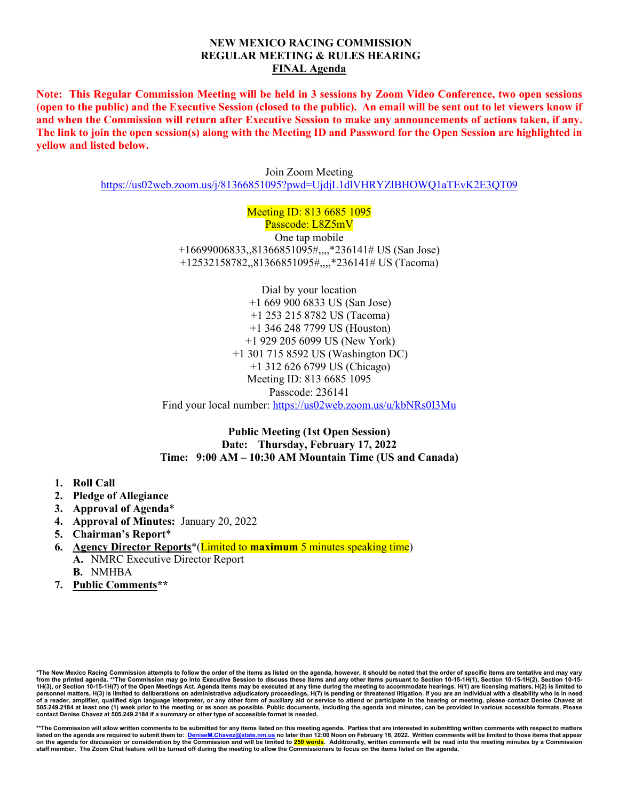#### **NEW MEXICO RACING COMMISSION REGULAR MEETING & RULES HEARING FINAL Agenda**

**Note: This Regular Commission Meeting will be held in 3 sessions by Zoom Video Conference, two open sessions (open to the public) and the Executive Session (closed to the public). An email will be sent out to let viewers know if and when the Commission will return after Executive Session to make any announcements of actions taken, if any. The link to join the open session(s) along with the Meeting ID and Password for the Open Session are highlighted in yellow and listed below.**

> Join Zoom Meeting <https://us02web.zoom.us/j/81366851095?pwd=UjdjL1dlVHRYZlBHOWQ1aTEvK2E3QT09>

> > Meeting ID: 813 6685 1095

Passcode: L8Z5mV One tap mobile +16699006833,,81366851095#,,,,\*236141# US (San Jose) +12532158782,,81366851095#,,,,\*236141# US (Tacoma)

Dial by your location +1 669 900 6833 US (San Jose) +1 253 215 8782 US (Tacoma) +1 346 248 7799 US (Houston) +1 929 205 6099 US (New York) +1 301 715 8592 US (Washington DC) +1 312 626 6799 US (Chicago) Meeting ID: 813 6685 1095 Passcode: 236141 Find your local number:<https://us02web.zoom.us/u/kbNRs0I3Mu>

**Public Meeting (1st Open Session) Date: Thursday, February 17, 2022 Time: 9:00 AM – 10:30 AM Mountain Time (US and Canada)**

- **1. Roll Call**
- **2. Pledge of Allegiance**
- **3. Approval of Agenda**\*
- **4. Approval of Minutes:** January 20, 2022
- **5. Chairman's Report**\*
- **6. Agency Director Reports**\*(Limited to **maximum** 5 minutes speaking time) **A.** NMRC Executive Director Report **B.** NMHBA
- **7. Public Comments\*\***

\*The New Mexico Racing Commission attempts to follow the order of the items as listed on the agenda, however, it should be noted that the order of specific items are tentative and may vary<br>from the printed agenda. \*\*The C **personnel matters, H(3) is limited to deliberations on administrative adjudicatory proceedings, H(7) is pending or threatened litigation. If you are an individual with a disability who is in need of a reader, amplifier, qualified sign language interpreter, or any other form of auxiliary aid or service to attend or participate in the hearing or meeting, please contact Denise Chavez at 505.249.2184 at least one (1) week prior to the meeting or as soon as possible. Public documents, including the agenda and minutes, can be provided in various accessible formats. Please contact Denise Chavez at 505.249.2184 if a summary or other type of accessible format is needed.**

\*\*The Commission will allow written comments to be submitted for any items listed on this meeting agenda. Parties that are interested in submitting written comments with respect to matters<br>Iisted on the agenda are require on the agenda for discussion or consideration by the Commission and will be limited to 250 words. Additionally, written comments will be read into the meeting minutes by a Commission **staff member. The Zoom Chat feature will be turned off during the meeting to allow the Commissioners to focus on the items listed on the agenda.**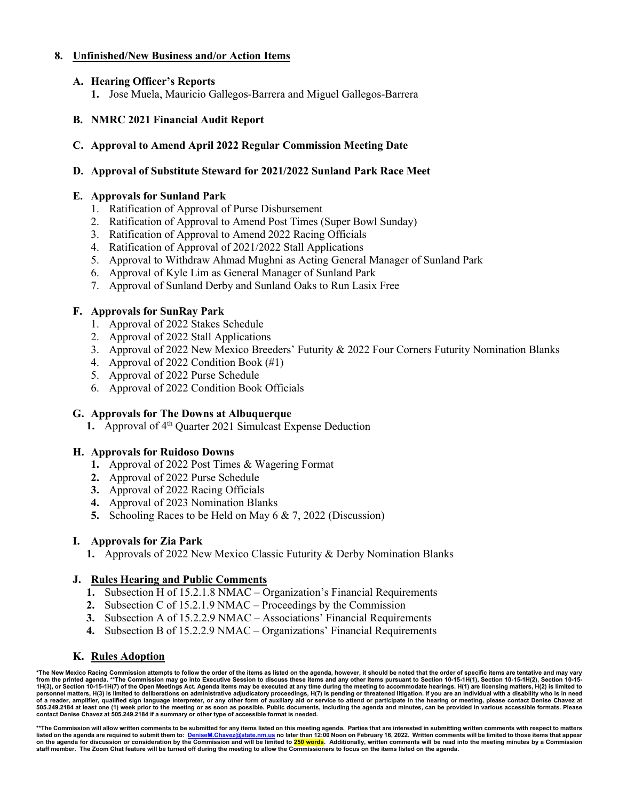# **8. Unfinished/New Business and/or Action Items**

# **A. Hearing Officer's Reports**

**1.** Jose Muela, Mauricio Gallegos-Barrera and Miguel Gallegos-Barrera

# **B. NMRC 2021 Financial Audit Report**

# **C. Approval to Amend April 2022 Regular Commission Meeting Date**

## **D. Approval of Substitute Steward for 2021/2022 Sunland Park Race Meet**

## **E. Approvals for Sunland Park**

- 1. Ratification of Approval of Purse Disbursement
- 2. Ratification of Approval to Amend Post Times (Super Bowl Sunday)
- 3. Ratification of Approval to Amend 2022 Racing Officials
- 4. Ratification of Approval of 2021/2022 Stall Applications
- 5. Approval to Withdraw Ahmad Mughni as Acting General Manager of Sunland Park
- 6. Approval of Kyle Lim as General Manager of Sunland Park
- 7. Approval of Sunland Derby and Sunland Oaks to Run Lasix Free

# **F. Approvals for SunRay Park**

- 1. Approval of 2022 Stakes Schedule
- 2. Approval of 2022 Stall Applications
- 3. Approval of 2022 New Mexico Breeders' Futurity & 2022 Four Corners Futurity Nomination Blanks
- 4. Approval of 2022 Condition Book (#1)
- 5. Approval of 2022 Purse Schedule
- 6. Approval of 2022 Condition Book Officials

### **G. Approvals for The Downs at Albuquerque**

**1.** Approval of 4<sup>th</sup> Quarter 2021 Simulcast Expense Deduction

### **H. Approvals for Ruidoso Downs**

- **1.** Approval of 2022 Post Times & Wagering Format
- **2.** Approval of 2022 Purse Schedule
- **3.** Approval of 2022 Racing Officials
- **4.** Approval of 2023 Nomination Blanks
- **5.** Schooling Races to be Held on May 6 & 7, 2022 (Discussion)

### **I. Approvals for Zia Park**

**1.** Approvals of 2022 New Mexico Classic Futurity & Derby Nomination Blanks

### **J. Rules Hearing and Public Comments**

- **1.** Subsection H of 15.2.1.8 NMAC Organization's Financial Requirements
- **2.** Subsection C of 15.2.1.9 NMAC Proceedings by the Commission
- **3.** Subsection A of 15.2.2.9 NMAC Associations' Financial Requirements
- **4.** Subsection B of 15.2.2.9 NMAC Organizations' Financial Requirements

### **K. Rules Adoption**

**\*The New Mexico Racing Commission attempts to follow the order of the items as listed on the agenda, however, it should be noted that the order of specific items are tentative and may vary**  from the printed agenda. \*\*The Commission may go into Executive Session to discuss these items and any other items pursuant to Section 10-15-1H(1), Section 10-15-1H(2), Section 10-15-1H(2), Section 10-15-1H(2), Section 10**personnel matters, H(3) is limited to deliberations on administrative adjudicatory proceedings, H(7) is pending or threatened litigation. If you are an individual with a disability who is in need of a reader, amplifier, qualified sign language interpreter, or any other form of auxiliary aid or service to attend or participate in the hearing or meeting, please contact Denise Chavez at 505.249.2184 at least one (1) week prior to the meeting or as soon as possible. Public documents, including the agenda and minutes, can be provided in various accessible formats. Please contact Denise Chavez at 505.249.2184 if a summary or other type of accessible format is needed.**

\*\*The Commission will allow written comments to be submitted for any items listed on this meeting agenda. Parties that are interested in submitting written comments with respect to matters<br>Iisted on the agenda are require on the agenda for discussion or consideration by the Commission and will be limited to 250 words. Additionally, written comments will be read into the meeting minutes by a Commission **staff member. The Zoom Chat feature will be turned off during the meeting to allow the Commissioners to focus on the items listed on the agenda.**